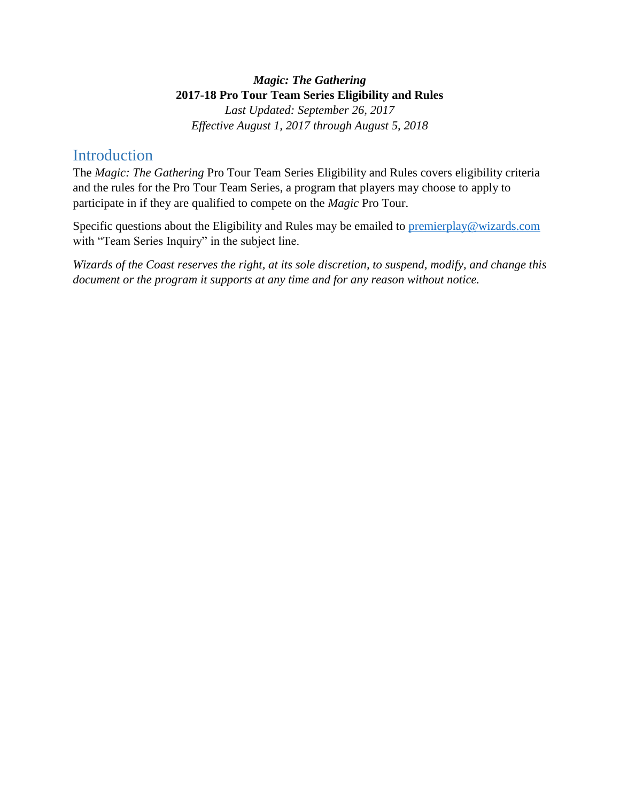#### *Magic: The Gathering*  **2017-18 Pro Tour Team Series Eligibility and Rules**

*Last Updated: September 26, 2017 Effective August 1, 2017 through August 5, 2018*

## **Introduction**

The *Magic: The Gathering* Pro Tour Team Series Eligibility and Rules covers eligibility criteria and the rules for the Pro Tour Team Series, a program that players may choose to apply to participate in if they are qualified to compete on the *Magic* Pro Tour.

Specific questions about the Eligibility and Rules may be emailed to [premierplay@wizards.com](mailto:premierplay@wizards.com) with "Team Series Inquiry" in the subject line.

*Wizards of the Coast reserves the right, at its sole discretion, to suspend, modify, and change this document or the program it supports at any time and for any reason without notice.*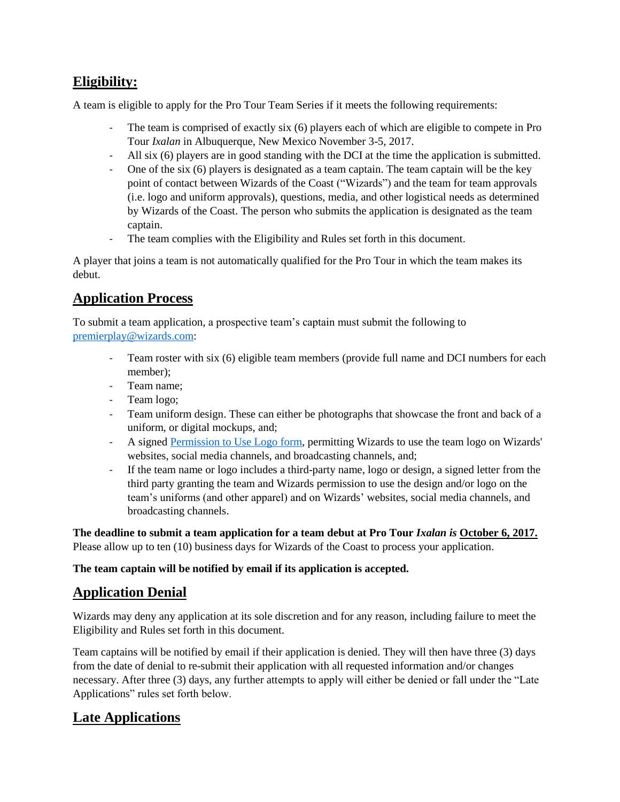## **Eligibility:**

A team is eligible to apply for the Pro Tour Team Series if it meets the following requirements:

- The team is comprised of exactly six (6) players each of which are eligible to compete in Pro Tour *Ixalan* in Albuquerque, New Mexico November 3-5, 2017.
- All six (6) players are in good standing with the DCI at the time the application is submitted.
- One of the six (6) players is designated as a team captain. The team captain will be the key point of contact between Wizards of the Coast ("Wizards") and the team for team approvals (i.e. logo and uniform approvals), questions, media, and other logistical needs as determined by Wizards of the Coast. The person who submits the application is designated as the team captain.
- The team complies with the Eligibility and Rules set forth in this document.

A player that joins a team is not automatically qualified for the Pro Tour in which the team makes its debut.

## **Application Process**

To submit a team application, a prospective team's captain must submit the following to [premierplay@wizards.com:](mailto:premierplay@wizards.com)

- Team roster with six (6) eligible team members (provide full name and DCI numbers for each member);
- Team name;
- Team logo;
- Team uniform design. These can either be photographs that showcase the front and back of a uniform, or digital mockups, and;
- A signed [Permission to Use Logo form,](http://media.wizards.com/2017/docs/PTU_Logo_PTTeamSeries.pdf) permitting Wizards to use the team logo on Wizards' websites, social media channels, and broadcasting channels, and;
- If the team name or logo includes a third-party name, logo or design, a signed letter from the third party granting the team and Wizards permission to use the design and/or logo on the team's uniforms (and other apparel) and on Wizards' websites, social media channels, and broadcasting channels.

**The deadline to submit a team application for a team debut at Pro Tour** *Ixalan is* **October 6, 2017.** Please allow up to ten (10) business days for Wizards of the Coast to process your application.

**The team captain will be notified by email if its application is accepted.** 

# **Application Denial**

Wizards may deny any application at its sole discretion and for any reason, including failure to meet the Eligibility and Rules set forth in this document.

Team captains will be notified by email if their application is denied. They will then have three (3) days from the date of denial to re-submit their application with all requested information and/or changes necessary. After three (3) days, any further attempts to apply will either be denied or fall under the "Late Applications" rules set forth below.

## **Late Applications**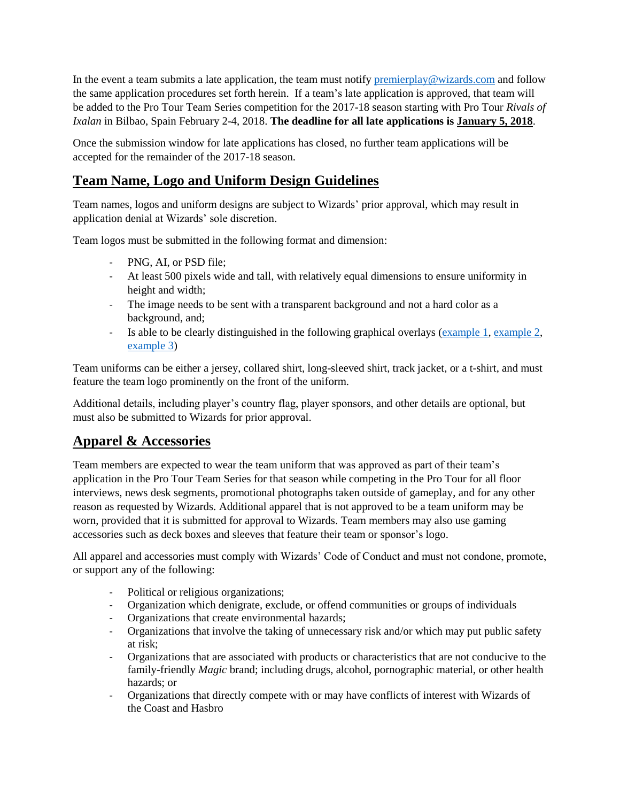In the event a team submits a late application, the team must notify [premierplay@wizards.com](mailto:premierplay@wizards.com) and follow the same application procedures set forth herein. If a team's late application is approved, that team will be added to the Pro Tour Team Series competition for the 2017-18 season starting with Pro Tour *Rivals of Ixalan* in Bilbao, Spain February 2-4, 2018. **The deadline for all late applications is January 5, 2018**.

Once the submission window for late applications has closed, no further team applications will be accepted for the remainder of the 2017-18 season.

## **Team Name, Logo and Uniform Design Guidelines**

Team names, logos and uniform designs are subject to Wizards' prior approval, which may result in application denial at Wizards' sole discretion.

Team logos must be submitted in the following format and dimension:

- PNG, AI, or PSD file;
- At least 500 pixels wide and tall, with relatively equal dimensions to ensure uniformity in height and width;
- The image needs to be sent with a transparent background and not a hard color as a background, and;
- Is able to be clearly distinguished in the following graphical overlays [\(example 1,](http://media.wizards.com/2017/events/teamlogos/overlay1.jpg) [example 2,](http://media.wizards.com/2017/events/teamlogos/overlay2.jpg) [example 3\)](http://media.wizards.com/2017/events/teamlogos/overlay3.jpg)

Team uniforms can be either a jersey, collared shirt, long-sleeved shirt, track jacket, or a t-shirt, and must feature the team logo prominently on the front of the uniform.

Additional details, including player's country flag, player sponsors, and other details are optional, but must also be submitted to Wizards for prior approval.

### **Apparel & Accessories**

Team members are expected to wear the team uniform that was approved as part of their team's application in the Pro Tour Team Series for that season while competing in the Pro Tour for all floor interviews, news desk segments, promotional photographs taken outside of gameplay, and for any other reason as requested by Wizards. Additional apparel that is not approved to be a team uniform may be worn, provided that it is submitted for approval to Wizards. Team members may also use gaming accessories such as deck boxes and sleeves that feature their team or sponsor's logo.

All apparel and accessories must comply with Wizards' Code of Conduct and must not condone, promote, or support any of the following:

- Political or religious organizations;
- Organization which denigrate, exclude, or offend communities or groups of individuals
- Organizations that create environmental hazards;
- Organizations that involve the taking of unnecessary risk and/or which may put public safety at risk;
- Organizations that are associated with products or characteristics that are not conducive to the family-friendly *Magic* brand; including drugs, alcohol, pornographic material, or other health hazards; or
- Organizations that directly compete with or may have conflicts of interest with Wizards of the Coast and Hasbro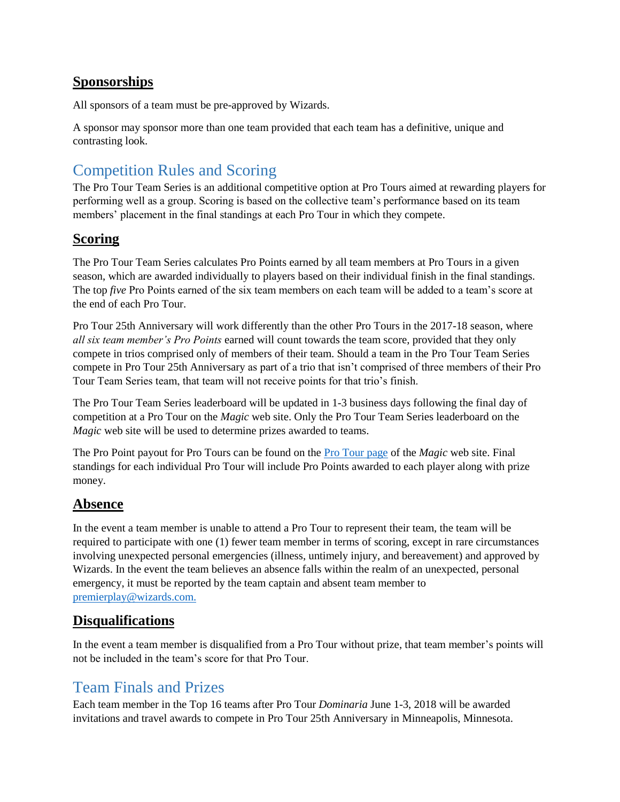### **Sponsorships**

All sponsors of a team must be pre-approved by Wizards.

A sponsor may sponsor more than one team provided that each team has a definitive, unique and contrasting look.

# Competition Rules and Scoring

The Pro Tour Team Series is an additional competitive option at Pro Tours aimed at rewarding players for performing well as a group. Scoring is based on the collective team's performance based on its team members' placement in the final standings at each Pro Tour in which they compete.

#### **Scoring**

The Pro Tour Team Series calculates Pro Points earned by all team members at Pro Tours in a given season, which are awarded individually to players based on their individual finish in the final standings. The top *five* Pro Points earned of the six team members on each team will be added to a team's score at the end of each Pro Tour.

Pro Tour 25th Anniversary will work differently than the other Pro Tours in the 2017-18 season, where *all six team member's Pro Points* earned will count towards the team score, provided that they only compete in trios comprised only of members of their team. Should a team in the Pro Tour Team Series compete in Pro Tour 25th Anniversary as part of a trio that isn't comprised of three members of their Pro Tour Team Series team, that team will not receive points for that trio's finish.

The Pro Tour Team Series leaderboard will be updated in 1-3 business days following the final day of competition at a Pro Tour on the *Magic* web site. Only the Pro Tour Team Series leaderboard on the *Magic* web site will be used to determine prizes awarded to teams.

The Pro Point payout for Pro Tours can be found on the [Pro Tour page](http://magic.wizards.com/en/content/pro-tour-magic-event-types-events) of the *Magic* web site. Final standings for each individual Pro Tour will include Pro Points awarded to each player along with prize money.

### **Absence**

In the event a team member is unable to attend a Pro Tour to represent their team, the team will be required to participate with one (1) fewer team member in terms of scoring, except in rare circumstances involving unexpected personal emergencies (illness, untimely injury, and bereavement) and approved by Wizards. In the event the team believes an absence falls within the realm of an unexpected, personal emergency, it must be reported by the team captain and absent team member to [premierplay@wizards.com.](mailto:premierplay@wizards.com)

### **Disqualifications**

In the event a team member is disqualified from a Pro Tour without prize, that team member's points will not be included in the team's score for that Pro Tour.

# Team Finals and Prizes

Each team member in the Top 16 teams after Pro Tour *Dominaria* June 1-3, 2018 will be awarded invitations and travel awards to compete in Pro Tour 25th Anniversary in Minneapolis, Minnesota.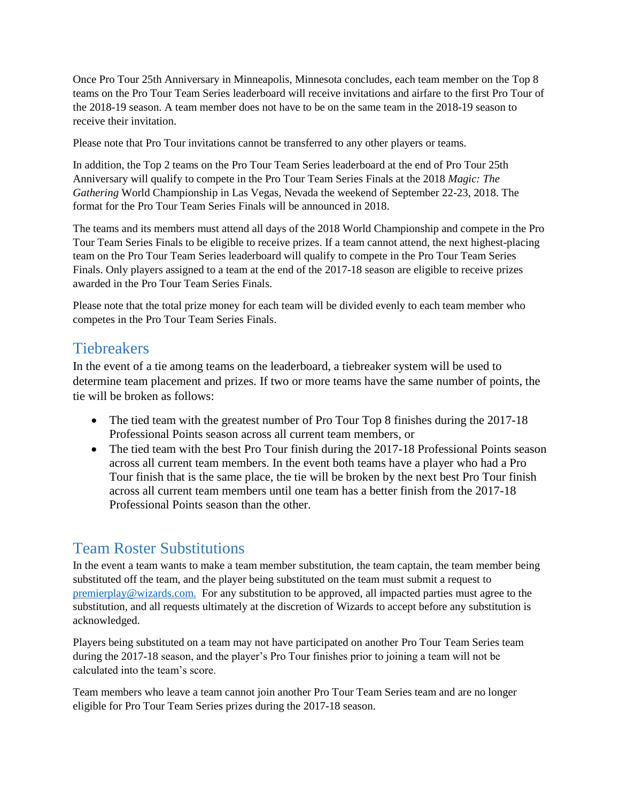Once Pro Tour 25th Anniversary in Minneapolis, Minnesota concludes, each team member on the Top 8 teams on the Pro Tour Team Series leaderboard will receive invitations and airfare to the first Pro Tour of the 2018-19 season. A team member does not have to be on the same team in the 2018-19 season to receive their invitation.

Please note that Pro Tour invitations cannot be transferred to any other players or teams.

In addition, the Top 2 teams on the Pro Tour Team Series leaderboard at the end of Pro Tour 25th Anniversary will qualify to compete in the Pro Tour Team Series Finals at the 2018 *Magic: The Gathering* World Championship in Las Vegas, Nevada the weekend of September 22-23, 2018. The format for the Pro Tour Team Series Finals will be announced in 2018.

The teams and its members must attend all days of the 2018 World Championship and compete in the Pro Tour Team Series Finals to be eligible to receive prizes. If a team cannot attend, the next highest-placing team on the Pro Tour Team Series leaderboard will qualify to compete in the Pro Tour Team Series Finals. Only players assigned to a team at the end of the 2017-18 season are eligible to receive prizes awarded in the Pro Tour Team Series Finals.

Please note that the total prize money for each team will be divided evenly to each team member who competes in the Pro Tour Team Series Finals.

## **Tiebreakers**

In the event of a tie among teams on the leaderboard, a tiebreaker system will be used to determine team placement and prizes. If two or more teams have the same number of points, the tie will be broken as follows:

- The tied team with the greatest number of Pro Tour Top 8 finishes during the 2017-18 Professional Points season across all current team members*,* or
- The tied team with the best Pro Tour finish during the 2017-18 Professional Points season across all current team members. In the event both teams have a player who had a Pro Tour finish that is the same place, the tie will be broken by the next best Pro Tour finish across all current team members until one team has a better finish from the 2017-18 Professional Points season than the other.

# Team Roster Substitutions

In the event a team wants to make a team member substitution, the team captain, the team member being substituted off the team, and the player being substituted on the team must submit a request to [premierplay@wizards.com.](mailto:premierplay@wizards.com) For any substitution to be approved, all impacted parties must agree to the substitution, and all requests ultimately at the discretion of Wizards to accept before any substitution is acknowledged.

Players being substituted on a team may not have participated on another Pro Tour Team Series team during the 2017-18 season, and the player's Pro Tour finishes prior to joining a team will not be calculated into the team's score.

Team members who leave a team cannot join another Pro Tour Team Series team and are no longer eligible for Pro Tour Team Series prizes during the 2017-18 season.